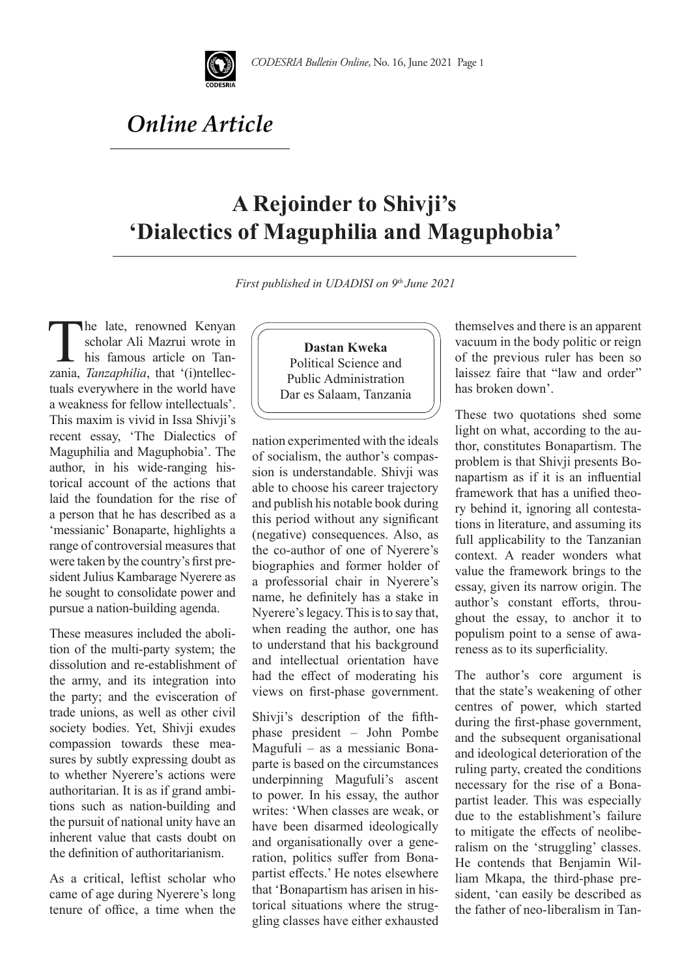

## *Online Article*

## **A Rejoinder to Shivji's 'Dialectics of Maguphilia and Maguphobia'**

*First published in UDADISI on 9<sup>th</sup> June 2021* 

The late, renowned Kenyan<br>scholar Ali Mazrui wrote in<br>his famous article on Tan-<br>zania *Tanzanhilia* that '(i)ntellecscholar Ali Mazrui wrote in his famous article on Tanzania, *Tanzaphilia*, that '(i)ntellectuals everywhere in the world have a weakness for fellow intellectuals'. This maxim is vivid in Issa Shivji's recent essay, 'The Dialectics of Maguphilia and Maguphobia'. The author, in his wide-ranging historical account of the actions that laid the foundation for the rise of a person that he has described as a 'messianic' Bonaparte, highlights a range of controversial measures that were taken by the country's first president Julius Kambarage Nyerere as he sought to consolidate power and pursue a nation-building agenda.

These measures included the abolition of the multi-party system; the dissolution and re-establishment of the army, and its integration into the party; and the evisceration of trade unions, as well as other civil society bodies. Yet, Shivji exudes compassion towards these measures by subtly expressing doubt as to whether Nyerere's actions were authoritarian. It is as if grand ambitions such as nation-building and the pursuit of national unity have an inherent value that casts doubt on the definition of authoritarianism.

As a critical, leftist scholar who came of age during Nyerere's long tenure of office, a time when the

**Dastan Kweka** Political Science and Public Administration Dar es Salaam, Tanzania

nation experimented with the ideals of socialism, the author's compassion is understandable. Shivji was able to choose his career trajectory and publish his notable book during this period without any significant (negative) consequences. Also, as the co-author of one of Nyerere's biographies and former holder of a professorial chair in Nyerere's name, he definitely has a stake in Nyerere's legacy. This is to say that, when reading the author, one has to understand that his background and intellectual orientation have had the effect of moderating his views on first-phase government.

Shivji's description of the fifthphase president – John Pombe Magufuli – as a messianic Bonaparte is based on the circumstances underpinning Magufuli's ascent to power. In his essay, the author writes: 'When classes are weak, or have been disarmed ideologically and organisationally over a generation, politics suffer from Bonapartist effects.' He notes elsewhere that 'Bonapartism has arisen in historical situations where the struggling classes have either exhausted themselves and there is an apparent vacuum in the body politic or reign of the previous ruler has been so laissez faire that "law and order" has broken down'.

These two quotations shed some light on what, according to the author, constitutes Bonapartism. The problem is that Shivji presents Bonapartism as if it is an influential framework that has a unified theory behind it, ignoring all contestations in literature, and assuming its full applicability to the Tanzanian context. A reader wonders what value the framework brings to the essay, given its narrow origin. The author's constant efforts, throughout the essay, to anchor it to populism point to a sense of awareness as to its superficiality.

The author's core argument is that the state's weakening of other centres of power, which started during the first-phase government, and the subsequent organisational and ideological deterioration of the ruling party, created the conditions necessary for the rise of a Bonapartist leader. This was especially due to the establishment's failure to mitigate the effects of neoliberalism on the 'struggling' classes. He contends that Benjamin William Mkapa, the third-phase president, 'can easily be described as the father of neo-liberalism in Tan